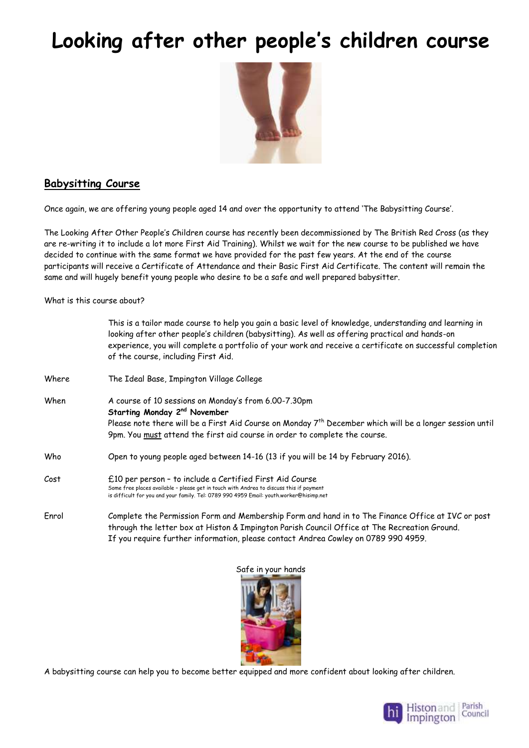# **Looking after other people's children course**



#### **Babysitting Course**

Once again, we are offering young people aged 14 and over the opportunity to attend 'The Babysitting Course'.

The Looking After Other People's Children course has recently been decommissioned by The British Red Cross (as they are re-writing it to include a lot more First Aid Training). Whilst we wait for the new course to be published we have decided to continue with the same format we have provided for the past few years. At the end of the course participants will receive a Certificate of Attendance and their Basic First Aid Certificate. The content will remain the same and will hugely benefit young people who desire to be a safe and well prepared babysitter.

What is this course about?

|       | This is a tailor made course to help you gain a basic level of knowledge, understanding and learning in<br>looking after other people's children (babysitting). As well as offering practical and hands-on<br>experience, you will complete a portfolio of your work and receive a certificate on successful completion<br>of the course, including First Aid. |  |
|-------|----------------------------------------------------------------------------------------------------------------------------------------------------------------------------------------------------------------------------------------------------------------------------------------------------------------------------------------------------------------|--|
| Where | The Ideal Base, Impington Village College                                                                                                                                                                                                                                                                                                                      |  |
| When  | A course of 10 sessions on Monday's from 6.00-7.30pm<br>Starting Monday 2 <sup>nd</sup> November<br>Please note there will be a First Aid Course on Monday 7 <sup>th</sup> December which will be a longer session until<br>9pm. You must attend the first aid course in order to complete the course.                                                         |  |
| Who   | Open to young people aged between 14-16 (13 if you will be 14 by February 2016).                                                                                                                                                                                                                                                                               |  |
| Cost  | £10 per person - to include a Certified First Aid Course<br>Some free places available - please get in touch with Andrea to discuss this if payment<br>is difficult for you and your family. Tel: 0789 990 4959 Email: youth.worker@hisimp.net                                                                                                                 |  |
| Enrol | Complete the Permission Form and Membership Form and hand in to The Finance Office at IVC or post<br>through the letter box at Histon & Impington Parish Council Office at The Recreation Ground.<br>If you require further information, please contact Andrea Cowley on 0789 990 4959.                                                                        |  |



A babysitting course can help you to become better equipped and more confident about looking after children.

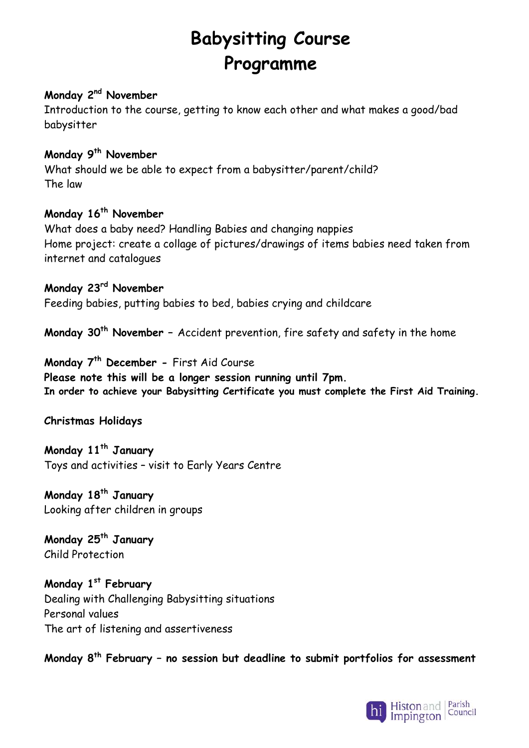## **Babysitting Course Programme**

#### **Monday 2nd November**

Introduction to the course, getting to know each other and what makes a good/bad babysitter

#### **Monday 9th November**

What should we be able to expect from a babysitter/parent/child? The law

### **Monday 16th November**

What does a baby need? Handling Babies and changing nappies Home project: create a collage of pictures/drawings of items babies need taken from internet and catalogues

#### **Monday 23rd November**

Feeding babies, putting babies to bed, babies crying and childcare

**Monday 30th November –** Accident prevention, fire safety and safety in the home

**Monday 7th December -** First Aid Course **Please note this will be a longer session running until 7pm. In order to achieve your Babysitting Certificate you must complete the First Aid Training.**

#### **Christmas Holidays**

**Monday 11th January** Toys and activities – visit to Early Years Centre

**Monday 18th January** Looking after children in groups

**Monday 25th January** Child Protection

**Monday 1st February**  Dealing with Challenging Babysitting situations Personal values The art of listening and assertiveness

**Monday 8th February – no session but deadline to submit portfolios for assessment**

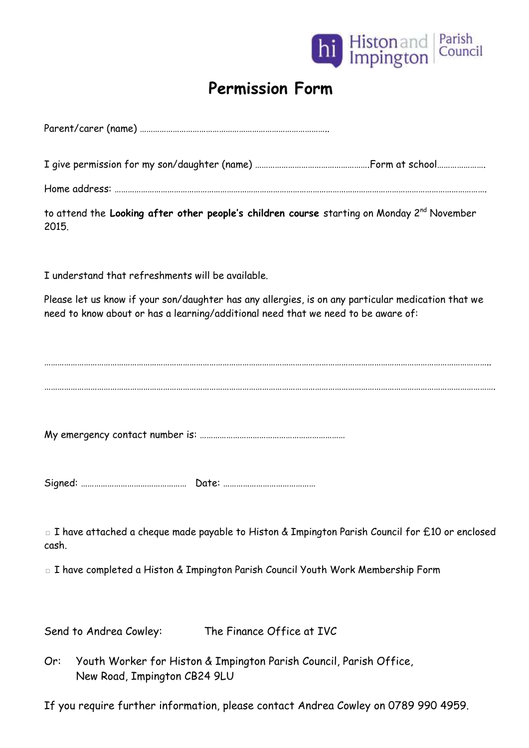

### **Permission Form**

Parent/carer (name) …………………………………………………………………………..

I give permission for my son/daughter (name) …………………………………………….Form at school………………….

Home address: …………………………………………………………………………………………………………………………………………………….

to attend the **Looking after other people's children course** starting on Monday 2nd November 2015.

I understand that refreshments will be available.

Please let us know if your son/daughter has any allergies, is on any particular medication that we need to know about or has a learning/additional need that we need to be aware of:

…………………………………………………………………………………………………………………………………………………………………………………….

My emergency contact number is: …………………………………………………………

Signed: ………………………………………… Date: ……………………………………

□ I have attached a cheque made payable to Histon & Impington Parish Council for £10 or enclosed cash.

□ I have completed a Histon & Impington Parish Council Youth Work Membership Form

Send to Andrea Cowley: The Finance Office at IVC

Or: Youth Worker for Histon & Impington Parish Council, Parish Office, New Road, Impington CB24 9LU

If you require further information, please contact Andrea Cowley on 0789 990 4959.